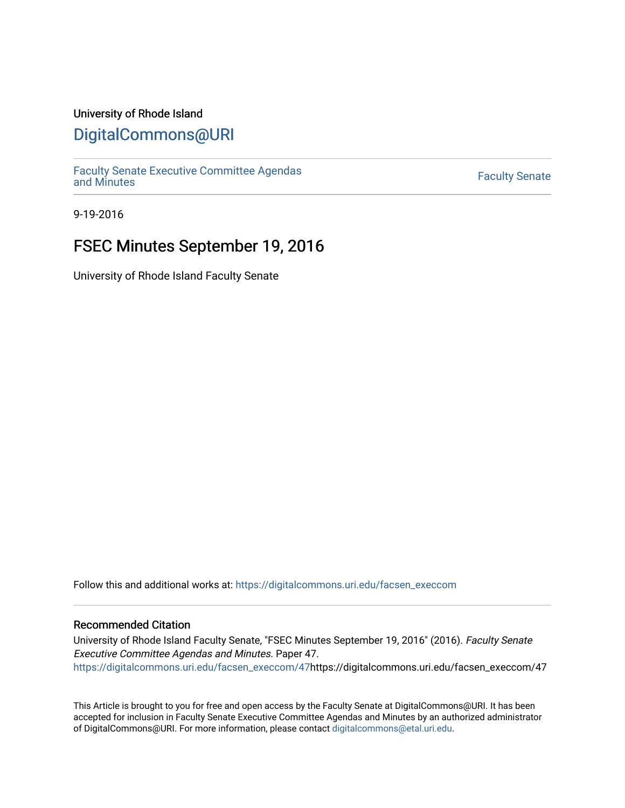#### University of Rhode Island

### [DigitalCommons@URI](https://digitalcommons.uri.edu/)

[Faculty Senate Executive Committee Agendas](https://digitalcommons.uri.edu/facsen_execcom)  [and Minutes](https://digitalcommons.uri.edu/facsen_execcom) [Faculty Senate](https://digitalcommons.uri.edu/facsen) 

9-19-2016

## FSEC Minutes September 19, 2016

University of Rhode Island Faculty Senate

Follow this and additional works at: [https://digitalcommons.uri.edu/facsen\\_execcom](https://digitalcommons.uri.edu/facsen_execcom?utm_source=digitalcommons.uri.edu%2Ffacsen_execcom%2F47&utm_medium=PDF&utm_campaign=PDFCoverPages) 

#### Recommended Citation

University of Rhode Island Faculty Senate, "FSEC Minutes September 19, 2016" (2016). Faculty Senate Executive Committee Agendas and Minutes. Paper 47. [https://digitalcommons.uri.edu/facsen\\_execcom/47h](https://digitalcommons.uri.edu/facsen_execcom/47?utm_source=digitalcommons.uri.edu%2Ffacsen_execcom%2F47&utm_medium=PDF&utm_campaign=PDFCoverPages)ttps://digitalcommons.uri.edu/facsen\_execcom/47

This Article is brought to you for free and open access by the Faculty Senate at DigitalCommons@URI. It has been accepted for inclusion in Faculty Senate Executive Committee Agendas and Minutes by an authorized administrator of DigitalCommons@URI. For more information, please contact [digitalcommons@etal.uri.edu](mailto:digitalcommons@etal.uri.edu).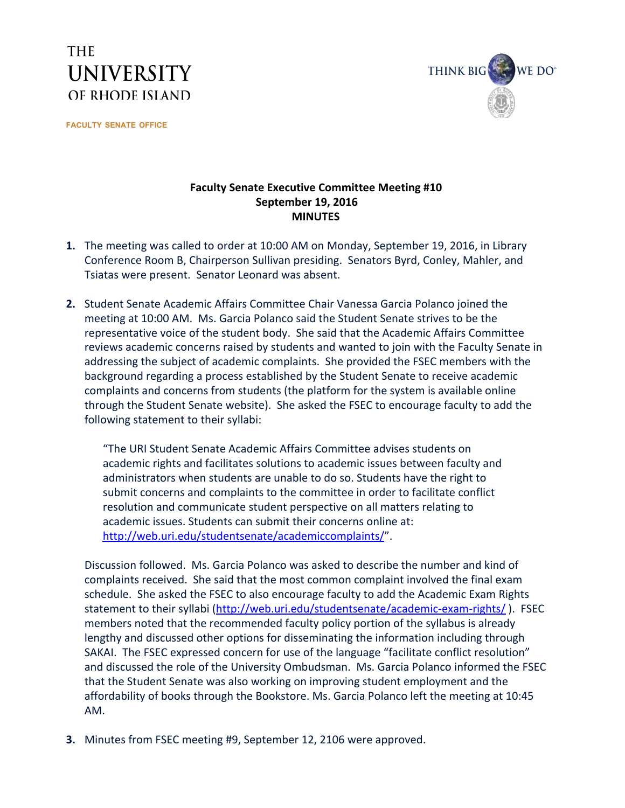# **THE UNIVERSITY** OF RHODE ISLAND

**FACULTY SENATE OFFICE**



#### **Faculty Senate Executive Committee Meeting #10 September 19, 2016 MINUTES**

- **1.** The meeting was called to order at 10:00 AM on Monday, September 19, 2016, in Library Conference Room B, Chairperson Sullivan presiding. Senators Byrd, Conley, Mahler, and Tsiatas were present. Senator Leonard was absent.
- **2.** Student Senate Academic Affairs Committee Chair Vanessa Garcia Polanco joined the meeting at 10:00 AM. Ms. Garcia Polanco said the Student Senate strives to be the representative voice of the student body. She said that the Academic Affairs Committee reviews academic concerns raised by students and wanted to join with the Faculty Senate in addressing the subject of academic complaints. She provided the FSEC members with the background regarding a process established by the Student Senate to receive academic complaints and concerns from students (the platform for the system is available online through the Student Senate website). She asked the FSEC to encourage faculty to add the following statement to their syllabi:

"The URI Student Senate Academic Affairs Committee advises students on academic rights and facilitates solutions to academic issues between faculty and administrators when students are unable to do so. Students have the right to submit concerns and complaints to the committee in order to facilitate conflict resolution and communicate student perspective on all matters relating to academic issues. Students can submit their concerns online at: <http://web.uri.edu/studentsenate/academiccomplaints/>".

Discussion followed. Ms. Garcia Polanco was asked to describe the number and kind of complaints received. She said that the most common complaint involved the final exam schedule. She asked the FSEC to also encourage faculty to add the Academic Exam Rights statement to their syllabi (http://web.uri.edu/studentsenate/academic-exam-rights/). FSEC members noted that the recommended faculty policy portion of the syllabus is already lengthy and discussed other options for disseminating the information including through SAKAI. The FSEC expressed concern for use of the language "facilitate conflict resolution" and discussed the role of the University Ombudsman. Ms. Garcia Polanco informed the FSEC that the Student Senate was also working on improving student employment and the affordability of books through the Bookstore. Ms. Garcia Polanco left the meeting at 10:45 AM.

**3.** Minutes from FSEC meeting #9, September 12, 2106 were approved.